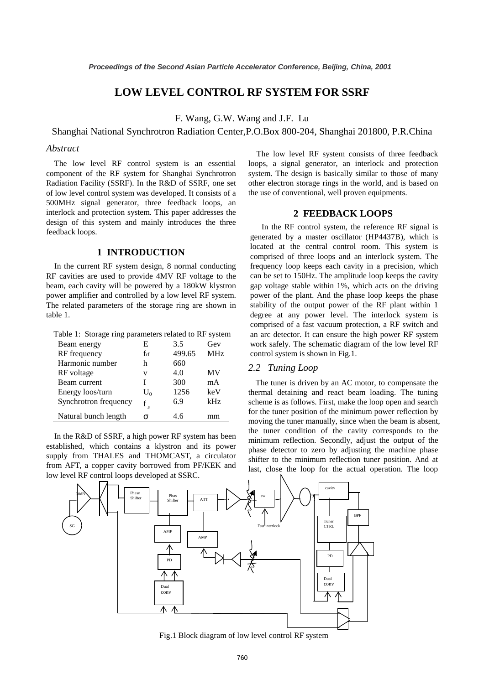# **LOW LEVEL CONTROL RF SYSTEM FOR SSRF**

F. Wang, G.W. Wang and J.F. Lu

#### Shanghai National Synchrotron Radiation Center,P.O.Box 800-204, Shanghai 201800, P.R.China

#### *Abstract*

The low level RF control system is an essential component of the RF system for Shanghai Synchrotron Radiation Facility (SSRF). In the R&D of SSRF, one set of low level control system was developed. It consists of a 500MHz signal generator, three feedback loops, an interlock and protection system. This paper addresses the design of this system and mainly introduces the three feedback loops.

## **1 INTRODUCTION**

In the current RF system design, 8 normal conducting RF cavities are used to provide 4MV RF voltage to the beam, each cavity will be powered by a 180kW klystron power amplifier and controlled by a low level RF system. The related parameters of the storage ring are shown in table 1.

Table 1: Storage ring parameters related to RF system

| Beam energy           | E        | 3.5    | Gev             |
|-----------------------|----------|--------|-----------------|
| RF frequency          | $f_{rf}$ | 499.65 | MH <sub>z</sub> |
| Harmonic number       | h        | 660    |                 |
| RF voltage            | v        | 4.0    | MV              |
| Beam current          |          | 300    | mA              |
| Energy loos/turn      | $U_0$    | 1256   | keV             |
| Synchrotron frequency | f        | 6.9    | kHz             |
| Natural bunch length  | σ        | 4.6    | mm              |

In the R&D of SSRF, a high power RF system has been established, which contains a klystron and its power supply from THALES and THOMCAST, a circulator from AFT, a copper cavity borrowed from PF/KEK and low level RF control loops developed at SSRC.

The low level RF system consists of three feedback loops, a signal generator, an interlock and protection system. The design is basically similar to those of many other electron storage rings in the world, and is based on the use of conventional, well proven equipments.

#### **2 FEEDBACK LOOPS**

 In the RF control system, the reference RF signal is generated by a master oscillator (HP4437B), which is located at the central control room. This system is comprised of three loops and an interlock system. The frequency loop keeps each cavity in a precision, which can be set to 150Hz. The amplitude loop keeps the cavity gap voltage stable within 1%, which acts on the driving power of the plant. And the phase loop keeps the phase stability of the output power of the RF plant within 1 degree at any power level. The interlock system is comprised of a fast vacuum protection, a RF switch and an arc detector. It can ensure the high power RF system work safely. The schematic diagram of the low level RF control system is shown in Fig.1.

#### *2.2 Tuning Loop*

The tuner is driven by an AC motor, to compensate the thermal detaining and react beam loading. The tuning scheme is as follows. First, make the loop open and search for the tuner position of the minimum power reflection by moving the tuner manually, since when the beam is absent, the tuner condition of the cavity corresponds to the minimum reflection. Secondly, adjust the output of the phase detector to zero by adjusting the machine phase shifter to the minimum reflection tuner position. And at last, close the loop for the actual operation. The loop



Fig.1 Block diagram of low level control RF system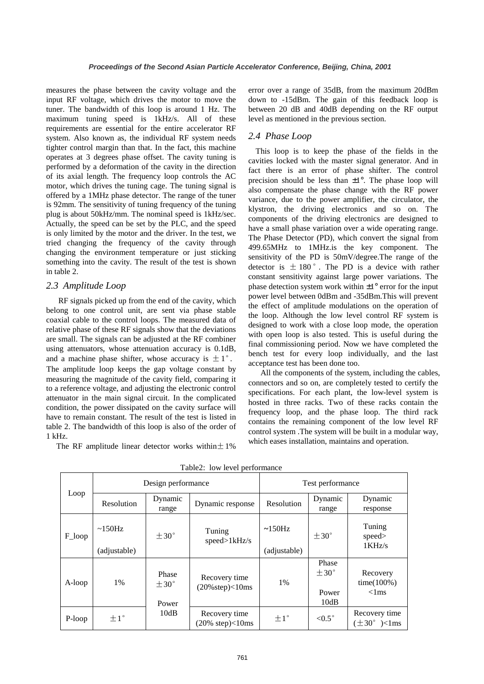measures the phase between the cavity voltage and the input RF voltage, which drives the motor to move the tuner. The bandwidth of this loop is around 1 Hz. The maximum tuning speed is 1kHz/s. All of these requirements are essential for the entire accelerator RF system. Also known as, the individual RF system needs tighter control margin than that. In the fact, this machine operates at 3 degrees phase offset. The cavity tuning is performed by a deformation of the cavity in the direction of its axial length. The frequency loop controls the AC motor, which drives the tuning cage. The tuning signal is offered by a 1MHz phase detector. The range of the tuner is 92mm. The sensitivity of tuning frequency of the tuning plug is about 50kHz/mm. The nominal speed is 1kHz/sec. Actually, the speed can be set by the PLC, and the speed is only limited by the motor and the driver. In the test, we tried changing the frequency of the cavity through changing the environment temperature or just sticking something into the cavity. The result of the test is shown in table 2.

#### *2.3 Amplitude Loop*

 RF signals picked up from the end of the cavity, which belong to one control unit, are sent via phase stable coaxial cable to the control loops. The measured data of relative phase of these RF signals show that the deviations are small. The signals can be adjusted at the RF combiner using attenuators, whose attenuation accuracy is 0.1dB, and a machine phase shifter, whose accuracy is  $\pm 1^{\circ}$ . The amplitude loop keeps the gap voltage constant by measuring the magnitude of the cavity field, comparing it to a reference voltage, and adjusting the electronic control attenuator in the main signal circuit. In the complicated condition, the power dissipated on the cavity surface will have to remain constant. The result of the test is listed in table 2. The bandwidth of this loop is also of the order of 1 kHz.

The RF amplitude linear detector works within $\pm 1\%$ 

error over a range of 35dB, from the maximum 20dBm down to -15dBm. The gain of this feedback loop is between 20 dB and 40dB depending on the RF output level as mentioned in the previous section.

## *2.4 Phase Loop*

This loop is to keep the phase of the fields in the cavities locked with the master signal generator. And in fact there is an error of phase shifter. The control precision should be less than  $\pm 1^\circ$ . The phase loop will also compensate the phase change with the RF power variance, due to the power amplifier, the circulator, the klystron, the driving electronics and so on. The components of the driving electronics are designed to have a small phase variation over a wide operating range. The Phase Detector (PD), which convert the signal from 499.65MHz to 1MHz.is the key component. The sensitivity of the PD is 50mV/degree.The range of the detector is  $\pm$  180 $^{\circ}$ . The PD is a device with rather constant sensitivity against large power variations. The phase detection system work within  $\pm 1^{\circ}$  error for the input power level between 0dBm and -35dBm.This will prevent the effect of amplitude modulations on the operation of the loop. Although the low level control RF system is designed to work with a close loop mode, the operation with open loop is also tested. This is useful during the final commissioning period. Now we have completed the bench test for every loop individually, and the last acceptance test has been done too.

 All the components of the system, including the cables, connectors and so on, are completely tested to certify the specifications. For each plant, the low-level system is hosted in three racks. Two of these racks contain the frequency loop, and the phase loop. The third rack contains the remaining component of the low level RF control system .The system will be built in a modular way, which eases installation, maintains and operation.

| Loop   | Design performance |                                         | Test performance                                      |              |                                         |                                                 |
|--------|--------------------|-----------------------------------------|-------------------------------------------------------|--------------|-----------------------------------------|-------------------------------------------------|
|        | Resolution         | Dynamic<br>range                        | Dynamic response                                      | Resolution   | Dynamic<br>range                        | Dynamic<br>response                             |
| F loop | $\sim$ 150Hz       | $+30^{\circ}$                           | Tuning<br>speed>1kHz/s                                | $\sim$ 150Hz | $+30^{\circ}$                           | Tuning<br>speed><br>1KHz/s                      |
|        | (adjustable)       |                                         |                                                       | (adjustable) |                                         |                                                 |
| A-loop | 1%                 | Phase<br>$+30^{\circ}$<br>Power<br>10dB | Recovery time<br>$(20\% \text{step}) < 10 \text{ms}$  | $1\%$        | Phase<br>$+30^{\circ}$<br>Power<br>10dB | Recovery<br>$time(100\%)$<br>$\langle$ 1 ms     |
| P-loop | $\pm 1$ °          |                                         | Recovery time<br>$(20\% \text{ step}) < 10 \text{ms}$ | $+1^{\circ}$ | $< 0.5^{\circ}$                         | Recovery time<br>$(\pm 30^{\circ})$ $\leq$ 1 ms |

Table2: low level performance